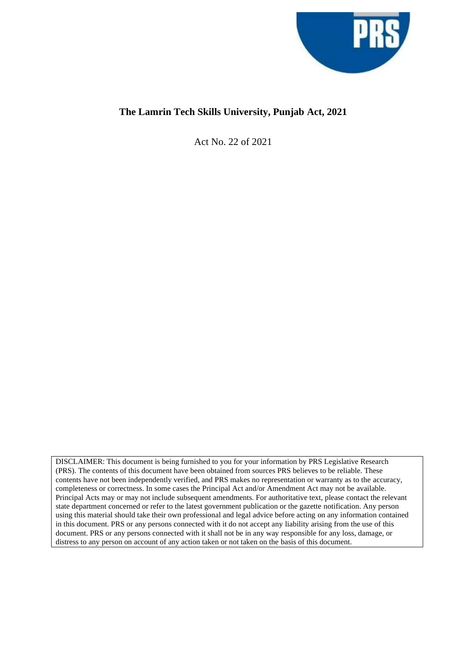

# **The Lamrin Tech Skills University, Punjab Act, 2021**

Act No. 22 of 2021

DISCLAIMER: This document is being furnished to you for your information by PRS Legislative Research (PRS). The contents of this document have been obtained from sources PRS believes to be reliable. These contents have not been independently verified, and PRS makes no representation or warranty as to the accuracy, completeness or correctness. In some cases the Principal Act and/or Amendment Act may not be available. Principal Acts may or may not include subsequent amendments. For authoritative text, please contact the relevant state department concerned or refer to the latest government publication or the gazette notification. Any person using this material should take their own professional and legal advice before acting on any information contained in this document. PRS or any persons connected with it do not accept any liability arising from the use of this document. PRS or any persons connected with it shall not be in any way responsible for any loss, damage, or distress to any person on account of any action taken or not taken on the basis of this document.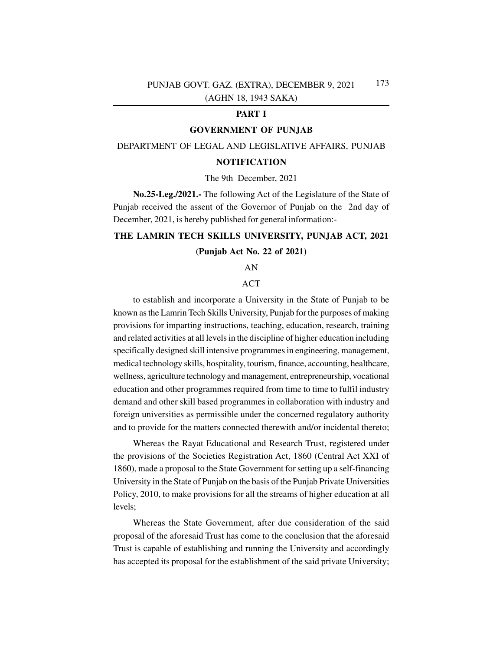### **PART I**

### **GOVERNMENT OF PUNJAB**

### DEPARTMENT OF LEGAL AND LEGISLATIVE AFFAIRS, PUNJAB

## **NOTIFICATION**

### The 9th December, 2021

**No.25-Leg./2021.-** The following Act of the Legislature of the State of Punjab received the assent of the Governor of Punjab on the 2nd day of December, 2021, is hereby published for general information:-

# **THE LAMRIN TECH SKILLS UNIVERSITY, PUNJAB ACT, 2021**

### **(Punjab Act No. 22 of 2021)**

AN

### ACT

to establish and incorporate a University in the State of Punjab to be known as the Lamrin Tech Skills University, Punjab for the purposes of making provisions for imparting instructions, teaching, education, research, training and related activities at all levels in the discipline of higher education including specifically designed skill intensive programmes in engineering, management, medical technology skills, hospitality, tourism, finance, accounting, healthcare, wellness, agriculture technology and management, entrepreneurship, vocational education and other programmes required from time to time to fulfil industry demand and other skill based programmes in collaboration with industry and foreign universities as permissible under the concerned regulatory authority and to provide for the matters connected therewith and/or incidental thereto;

Whereas the Rayat Educational and Research Trust, registered under the provisions of the Societies Registration Act, 1860 (Central Act XXI of 1860), made a proposal to the State Government for setting up a self-financing University in the State of Punjab on the basis of the Punjab Private Universities Policy, 2010, to make provisions for all the streams of higher education at all levels;

Whereas the State Government, after due consideration of the said proposal of the aforesaid Trust has come to the conclusion that the aforesaid Trust is capable of establishing and running the University and accordingly has accepted its proposal for the establishment of the said private University;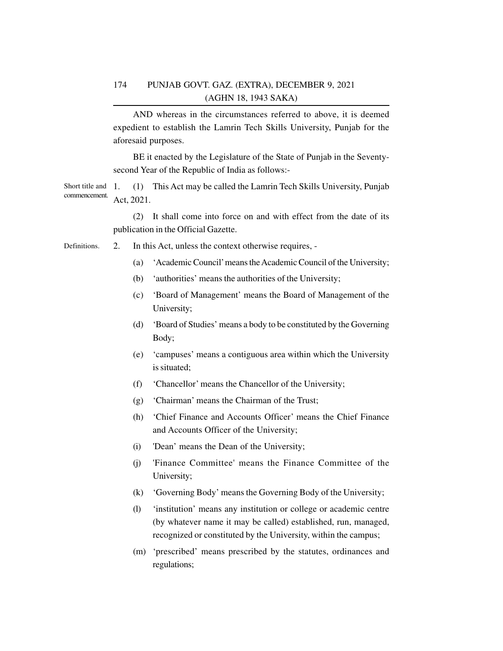AND whereas in the circumstances referred to above, it is deemed expedient to establish the Lamrin Tech Skills University, Punjab for the aforesaid purposes.

BE it enacted by the Legislature of the State of Punjab in the Seventysecond Year of the Republic of India as follows:-

1. (1) This Act may be called the Lamrin Tech Skills University, Punjab Act, 2021. Short title and commencement.

> (2) It shall come into force on and with effect from the date of its publication in the Official Gazette.

- 2. In this Act, unless the context otherwise requires, Definitions.
	- (a) 'Academic Council' means the Academic Council of the University;
	- (b) 'authorities' means the authorities of the University;
	- (c) 'Board of Management' means the Board of Management of the University;
	- (d) 'Board of Studies' means a body to be constituted by the Governing Body;
	- (e) 'campuses' means a contiguous area within which the University is situated;
	- (f) 'Chancellor' means the Chancellor of the University;
	- (g) 'Chairman' means the Chairman of the Trust;
	- (h) 'Chief Finance and Accounts Officer' means the Chief Finance and Accounts Officer of the University;
	- (i) 'Dean' means the Dean of the University;
	- (j) 'Finance Committee' means the Finance Committee of the University;
	- (k) 'Governing Body' means the Governing Body of the University;
	- (l) 'institution' means any institution or college or academic centre (by whatever name it may be called) established, run, managed, recognized or constituted by the University, within the campus;
	- (m) 'prescribed' means prescribed by the statutes, ordinances and regulations;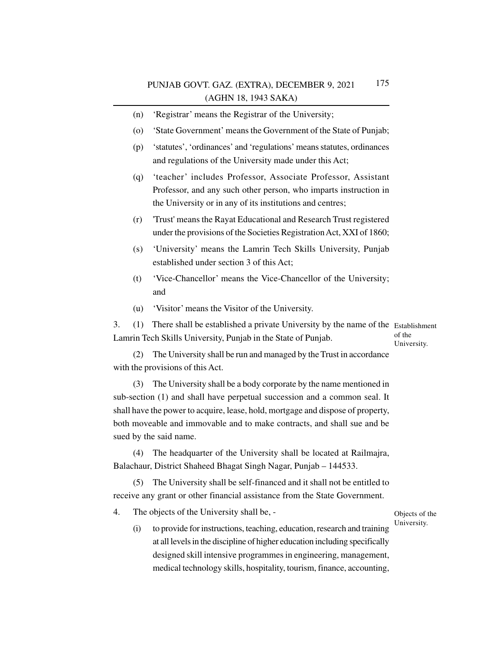- (n) 'Registrar' means the Registrar of the University;
- (o) 'State Government' means the Government of the State of Punjab;
- (p) 'statutes', 'ordinances' and 'regulations' means statutes, ordinances and regulations of the University made under this Act;
- (q) 'teacher' includes Professor, Associate Professor, Assistant Professor, and any such other person, who imparts instruction in the University or in any of its institutions and centres;
- (r) 'Trust' means the Rayat Educational and Research Trust registered under the provisions of the Societies Registration Act, XXI of 1860;
- (s) 'University' means the Lamrin Tech Skills University, Punjab established under section 3 of this Act;
- (t) 'Vice-Chancellor' means the Vice-Chancellor of the University; and
- (u) 'Visitor' means the Visitor of the University.

3. (1) There shall be established a private University by the name of the Establishment Lamrin Tech Skills University, Punjab in the State of Punjab. of the

University.

(2) The University shall be run and managed by the Trust in accordance with the provisions of this Act.

(3) The University shall be a body corporate by the name mentioned in sub-section (1) and shall have perpetual succession and a common seal. It shall have the power to acquire, lease, hold, mortgage and dispose of property, both moveable and immovable and to make contracts, and shall sue and be sued by the said name.

(4) The headquarter of the University shall be located at Railmajra, Balachaur, District Shaheed Bhagat Singh Nagar, Punjab – 144533.

(5) The University shall be self-financed and it shall not be entitled to receive any grant or other financial assistance from the State Government.

4. The objects of the University shall be, -

- Objects of the University.
- (i) to provide for instructions, teaching, education, research and training at all levels in the discipline of higher education including specifically designed skill intensive programmes in engineering, management, medical technology skills, hospitality, tourism, finance, accounting,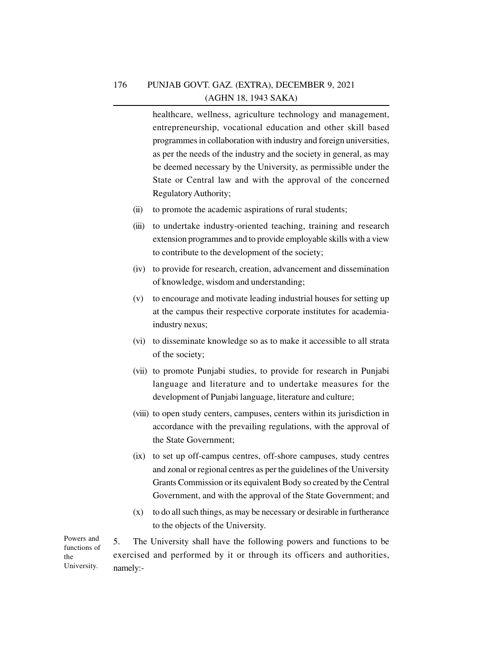healthcare, wellness, agriculture technology and management, entrepreneurship, vocational education and other skill based programmes in collaboration with industry and foreign universities, as per the needs of the industry and the society in general, as may be deemed necessary by the University, as permissible under the State or Central law and with the approval of the concerned Regulatory Authority;

- (ii) to promote the academic aspirations of rural students;
- (iii) to undertake industry-oriented teaching, training and research extension programmes and to provide employable skills with a view to contribute to the development of the society;
- (iv) to provide for research, creation, advancement and dissemination of knowledge, wisdom and understanding;
- (v) to encourage and motivate leading industrial houses for setting up at the campus their respective corporate institutes for academiaindustry nexus;
- (vi) to disseminate knowledge so as to make it accessible to all strata of the society;
- (vii) to promote Punjabi studies, to provide for research in Punjabi language and literature and to undertake measures for the development of Punjabi language, literature and culture;
- (viii) to open study centers, campuses, centers within its jurisdiction in accordance with the prevailing regulations, with the approval of the State Government;
- (ix) to set up off-campus centres, off-shore campuses, study centres and zonal or regional centres as per the guidelines of the University Grants Commission or its equivalent Body so created by the Central Government, and with the approval of the State Government; and
- (x) to do all such things, as may be necessary or desirable in furtherance to the objects of the University.

5. The University shall have the following powers and functions to be exercised and performed by it or through its officers and authorities, namely:-

Powers and functions of the University.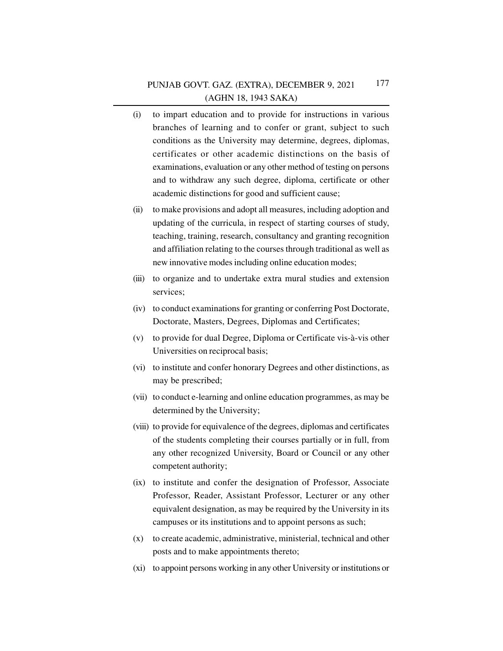- (i) to impart education and to provide for instructions in various branches of learning and to confer or grant, subject to such conditions as the University may determine, degrees, diplomas, certificates or other academic distinctions on the basis of examinations, evaluation or any other method of testing on persons and to withdraw any such degree, diploma, certificate or other academic distinctions for good and sufficient cause;
- (ii) to make provisions and adopt all measures, including adoption and updating of the curricula, in respect of starting courses of study, teaching, training, research, consultancy and granting recognition and affiliation relating to the courses through traditional as well as new innovative modes including online education modes;
- (iii) to organize and to undertake extra mural studies and extension services;
- (iv) to conduct examinations for granting or conferring Post Doctorate, Doctorate, Masters, Degrees, Diplomas and Certificates;
- (v) to provide for dual Degree, Diploma or Certificate vis-à-vis other Universities on reciprocal basis;
- (vi) to institute and confer honorary Degrees and other distinctions, as may be prescribed;
- (vii) to conduct e-learning and online education programmes, as may be determined by the University;
- (viii) to provide for equivalence of the degrees, diplomas and certificates of the students completing their courses partially or in full, from any other recognized University, Board or Council or any other competent authority;
- (ix) to institute and confer the designation of Professor, Associate Professor, Reader, Assistant Professor, Lecturer or any other equivalent designation, as may be required by the University in its campuses or its institutions and to appoint persons as such;
- (x) to create academic, administrative, ministerial, technical and other posts and to make appointments thereto;
- (xi) to appoint persons working in any other University or institutions or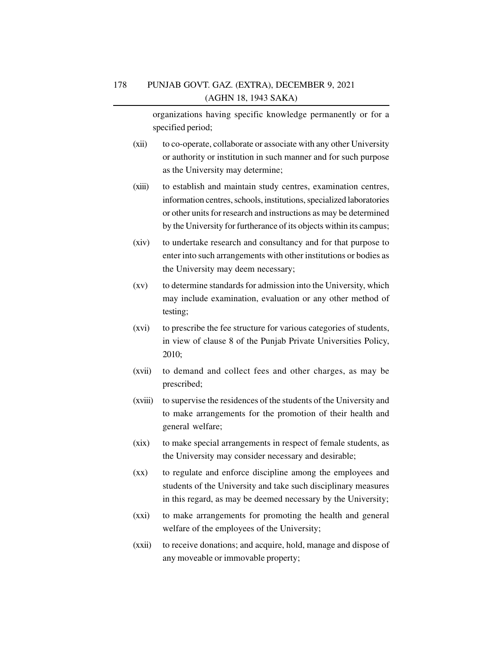organizations having specific knowledge permanently or for a specified period;

- (xii) to co-operate, collaborate or associate with any other University or authority or institution in such manner and for such purpose as the University may determine;
- (xiii) to establish and maintain study centres, examination centres, information centres, schools, institutions, specialized laboratories or other units for research and instructions as may be determined by the University for furtherance of its objects within its campus;
- (xiv) to undertake research and consultancy and for that purpose to enter into such arrangements with other institutions or bodies as the University may deem necessary;
- (xv) to determine standards for admission into the University, which may include examination, evaluation or any other method of testing;
- (xvi) to prescribe the fee structure for various categories of students, in view of clause 8 of the Punjab Private Universities Policy, 2010;
- (xvii) to demand and collect fees and other charges, as may be prescribed;
- (xviii) to supervise the residences of the students of the University and to make arrangements for the promotion of their health and general welfare;
- (xix) to make special arrangements in respect of female students, as the University may consider necessary and desirable;
- (xx) to regulate and enforce discipline among the employees and students of the University and take such disciplinary measures in this regard, as may be deemed necessary by the University;
- (xxi) to make arrangements for promoting the health and general welfare of the employees of the University;
- (xxii) to receive donations; and acquire, hold, manage and dispose of any moveable or immovable property;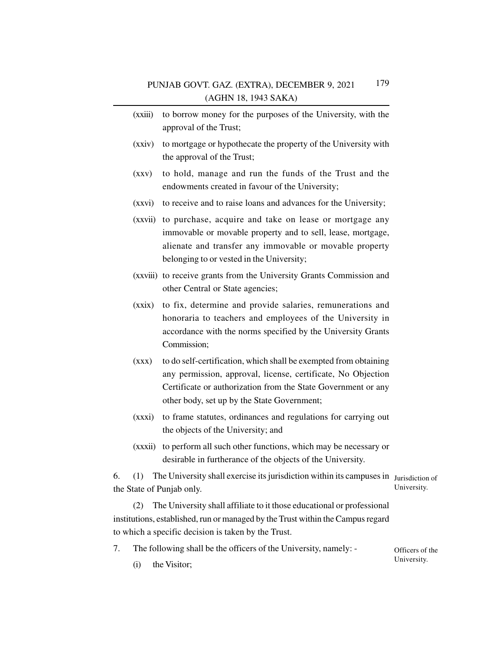- (xxiii) to borrow money for the purposes of the University, with the approval of the Trust;
- (xxiv) to mortgage or hypothecate the property of the University with the approval of the Trust;
- (xxv) to hold, manage and run the funds of the Trust and the endowments created in favour of the University;
- (xxvi) to receive and to raise loans and advances for the University;
- (xxvii) to purchase, acquire and take on lease or mortgage any immovable or movable property and to sell, lease, mortgage, alienate and transfer any immovable or movable property belonging to or vested in the University;
- (xxviii) to receive grants from the University Grants Commission and other Central or State agencies;
- (xxix) to fix, determine and provide salaries, remunerations and honoraria to teachers and employees of the University in accordance with the norms specified by the University Grants Commission;
- (xxx) to do self-certification, which shall be exempted from obtaining any permission, approval, license, certificate, No Objection Certificate or authorization from the State Government or any other body, set up by the State Government;
- (xxxi) to frame statutes, ordinances and regulations for carrying out the objects of the University; and
- (xxxii) to perform all such other functions, which may be necessary or desirable in furtherance of the objects of the University.

6. (1) The University shall exercise its jurisdiction within its campuses in Jurisdiction of the State of Punjab only. University.

(2) The University shall affiliate to it those educational or professional institutions, established, run or managed by the Trust within the Campus regard to which a specific decision is taken by the Trust.

7. The following shall be the officers of the University, namely: - Officers of the

University.

(i) the Visitor;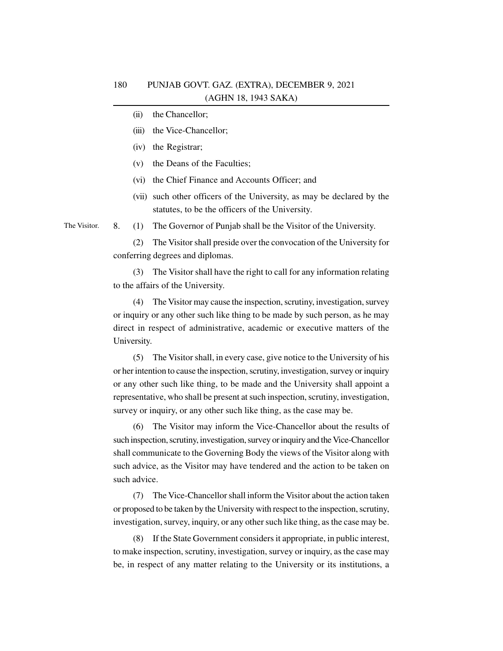- (ii) the Chancellor;
- (iii) the Vice-Chancellor;
- (iv) the Registrar;
- (v) the Deans of the Faculties;
- (vi) the Chief Finance and Accounts Officer; and
- (vii) such other officers of the University, as may be declared by the statutes, to be the officers of the University.

The Visitor.

8. (1) The Governor of Punjab shall be the Visitor of the University.

(2) The Visitor shall preside over the convocation of the University for conferring degrees and diplomas.

(3) The Visitor shall have the right to call for any information relating to the affairs of the University.

(4) The Visitor may cause the inspection, scrutiny, investigation, survey or inquiry or any other such like thing to be made by such person, as he may direct in respect of administrative, academic or executive matters of the University.

(5) The Visitor shall, in every case, give notice to the University of his or her intention to cause the inspection, scrutiny, investigation, survey or inquiry or any other such like thing, to be made and the University shall appoint a representative, who shall be present at such inspection, scrutiny, investigation, survey or inquiry, or any other such like thing, as the case may be.

(6) The Visitor may inform the Vice-Chancellor about the results of such inspection, scrutiny, investigation, survey or inquiry and the Vice-Chancellor shall communicate to the Governing Body the views of the Visitor along with such advice, as the Visitor may have tendered and the action to be taken on such advice.

(7) The Vice-Chancellor shall inform the Visitor about the action taken or proposed to be taken by the University with respect to the inspection, scrutiny, investigation, survey, inquiry, or any other such like thing, as the case may be.

(8) If the State Government considers it appropriate, in public interest, to make inspection, scrutiny, investigation, survey or inquiry, as the case may be, in respect of any matter relating to the University or its institutions, a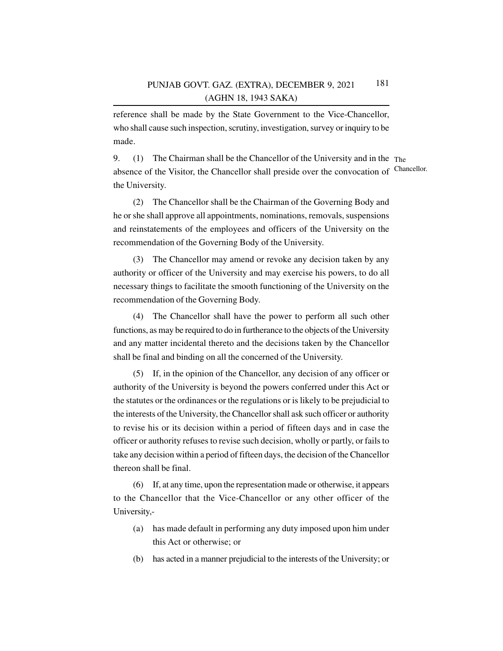reference shall be made by the State Government to the Vice-Chancellor, who shall cause such inspection, scrutiny, investigation, survey or inquiry to be made.

9. (1) The Chairman shall be the Chancellor of the University and in the The absence of the Visitor, the Chancellor shall preside over the convocation of Chancellor. the University.

(2) The Chancellor shall be the Chairman of the Governing Body and he or she shall approve all appointments, nominations, removals, suspensions and reinstatements of the employees and officers of the University on the recommendation of the Governing Body of the University.

(3) The Chancellor may amend or revoke any decision taken by any authority or officer of the University and may exercise his powers, to do all necessary things to facilitate the smooth functioning of the University on the recommendation of the Governing Body.

(4) The Chancellor shall have the power to perform all such other functions, as may be required to do in furtherance to the objects of the University and any matter incidental thereto and the decisions taken by the Chancellor shall be final and binding on all the concerned of the University.

(5) If, in the opinion of the Chancellor, any decision of any officer or authority of the University is beyond the powers conferred under this Act or the statutes or the ordinances or the regulations or is likely to be prejudicial to the interests of the University, the Chancellor shall ask such officer or authority to revise his or its decision within a period of fifteen days and in case the officer or authority refuses to revise such decision, wholly or partly, or fails to take any decision within a period of fifteen days, the decision of the Chancellor thereon shall be final.

(6) If, at any time, upon the representation made or otherwise, it appears to the Chancellor that the Vice-Chancellor or any other officer of the University,-

- (a) has made default in performing any duty imposed upon him under this Act or otherwise; or
- (b) has acted in a manner prejudicial to the interests of the University; or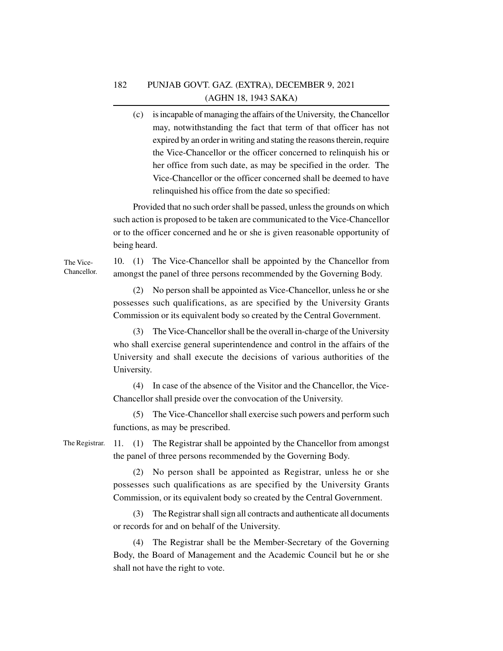(c) is incapable of managing the affairs of the University, the Chancellor may, notwithstanding the fact that term of that officer has not expired by an order in writing and stating the reasons therein, require the Vice-Chancellor or the officer concerned to relinquish his or her office from such date, as may be specified in the order. The Vice-Chancellor or the officer concerned shall be deemed to have relinquished his office from the date so specified:

Provided that no such order shall be passed, unless the grounds on which such action is proposed to be taken are communicated to the Vice-Chancellor or to the officer concerned and he or she is given reasonable opportunity of being heard.

# 10. (1) The Vice-Chancellor shall be appointed by the Chancellor from amongst the panel of three persons recommended by the Governing Body.

(2) No person shall be appointed as Vice-Chancellor, unless he or she possesses such qualifications, as are specified by the University Grants Commission or its equivalent body so created by the Central Government.

(3) The Vice-Chancellor shall be the overall in-charge of the University who shall exercise general superintendence and control in the affairs of the University and shall execute the decisions of various authorities of the University.

(4) In case of the absence of the Visitor and the Chancellor, the Vice-Chancellor shall preside over the convocation of the University.

(5) The Vice-Chancellor shall exercise such powers and perform such functions, as may be prescribed.

The Registrar.

11. (1) The Registrar shall be appointed by the Chancellor from amongst the panel of three persons recommended by the Governing Body.

(2) No person shall be appointed as Registrar, unless he or she possesses such qualifications as are specified by the University Grants Commission, or its equivalent body so created by the Central Government.

(3) The Registrar shall sign all contracts and authenticate all documents or records for and on behalf of the University.

(4) The Registrar shall be the Member-Secretary of the Governing Body, the Board of Management and the Academic Council but he or she shall not have the right to vote.

The Vice-Chancellor.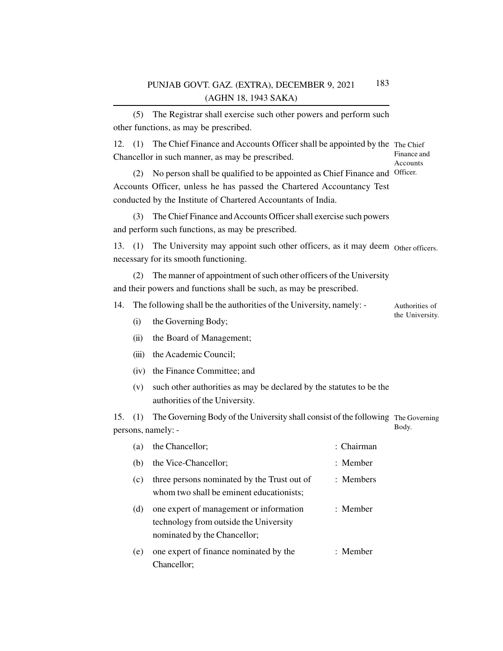(5) The Registrar shall exercise such other powers and perform such other functions, as may be prescribed.

12. (1) The Chief Finance and Accounts Officer shall be appointed by the The Chief Chancellor in such manner, as may be prescribed. Finance and Accounts

(2) No person shall be qualified to be appointed as Chief Finance and Officer. Accounts Officer, unless he has passed the Chartered Accountancy Test conducted by the Institute of Chartered Accountants of India.

(3) The Chief Finance and Accounts Officer shall exercise such powers and perform such functions, as may be prescribed.

13. (1) The University may appoint such other officers, as it may deem Other officers. necessary for its smooth functioning.

(2) The manner of appointment of such other officers of the University and their powers and functions shall be such, as may be prescribed.

14. The following shall be the authorities of the University, namely: - Authorities of

the University.

- (i) the Governing Body;
- (ii) the Board of Management;
- (iii) the Academic Council;
- (iv) the Finance Committee; and
- (v) such other authorities as may be declared by the statutes to be the authorities of the University.

15. (1) The Governing Body of the University shall consist of the following The Governing persons, namely: - Body.

| (a) | the Chancellor;                                                                                                   | $\cdot$ Chairman |
|-----|-------------------------------------------------------------------------------------------------------------------|------------------|
| (b) | the Vice-Chancellor;                                                                                              | $:$ Member       |
| (c) | three persons nominated by the Trust out of<br>whom two shall be eminent educationists;                           | $:$ Members      |
| (d) | one expert of management or information<br>technology from outside the University<br>nominated by the Chancellor; | $:$ Member       |
| (e) | one expert of finance nominated by the<br>Chancellor;                                                             | : Member         |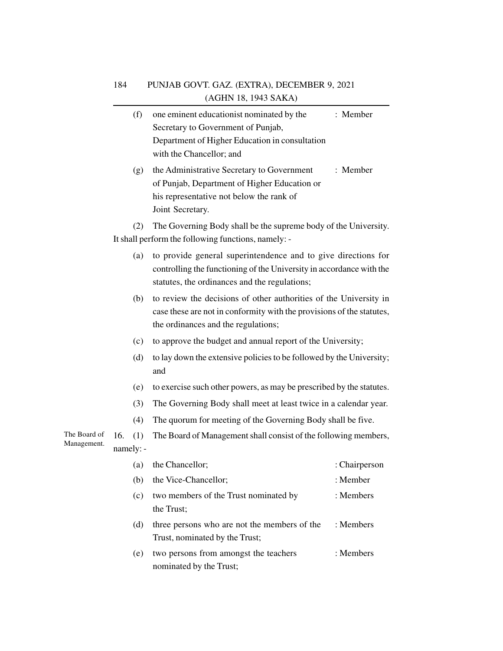|              |           | (f) | one eminent educationist nominated by the<br>Secretary to Government of Punjab,                                                                                                        | : Member      |
|--------------|-----------|-----|----------------------------------------------------------------------------------------------------------------------------------------------------------------------------------------|---------------|
|              |           |     | Department of Higher Education in consultation                                                                                                                                         |               |
|              |           |     | with the Chancellor; and                                                                                                                                                               |               |
|              |           | (g) | the Administrative Secretary to Government<br>of Punjab, Department of Higher Education or<br>his representative not below the rank of                                                 | : Member      |
|              |           |     | Joint Secretary.                                                                                                                                                                       |               |
|              |           | (2) | The Governing Body shall be the supreme body of the University.<br>It shall perform the following functions, namely: -                                                                 |               |
|              |           | (a) | to provide general superintendence and to give directions for<br>controlling the functioning of the University in accordance with the<br>statutes, the ordinances and the regulations; |               |
|              |           | (b) | to review the decisions of other authorities of the University in<br>case these are not in conformity with the provisions of the statutes,<br>the ordinances and the regulations;      |               |
|              |           | (c) | to approve the budget and annual report of the University;                                                                                                                             |               |
|              |           | (d) | to lay down the extensive policies to be followed by the University;<br>and                                                                                                            |               |
|              |           | (e) | to exercise such other powers, as may be prescribed by the statutes.                                                                                                                   |               |
|              |           | (3) | The Governing Body shall meet at least twice in a calendar year.                                                                                                                       |               |
|              |           | (4) | The quorum for meeting of the Governing Body shall be five.                                                                                                                            |               |
| The Board of | 16.       | (1) | The Board of Management shall consist of the following members,                                                                                                                        |               |
| Management.  | namely: - |     |                                                                                                                                                                                        |               |
|              |           | (a) | the Chancellor;                                                                                                                                                                        | : Chairperson |
|              |           | (b) | the Vice-Chancellor;                                                                                                                                                                   | : Member      |
|              |           | (c) | two members of the Trust nominated by<br>the Trust;                                                                                                                                    | : Members     |
|              |           | (d) | three persons who are not the members of the<br>Trust, nominated by the Trust;                                                                                                         | : Members     |
|              |           | (e) | two persons from amongst the teachers                                                                                                                                                  | : Members     |

nominated by the Trust;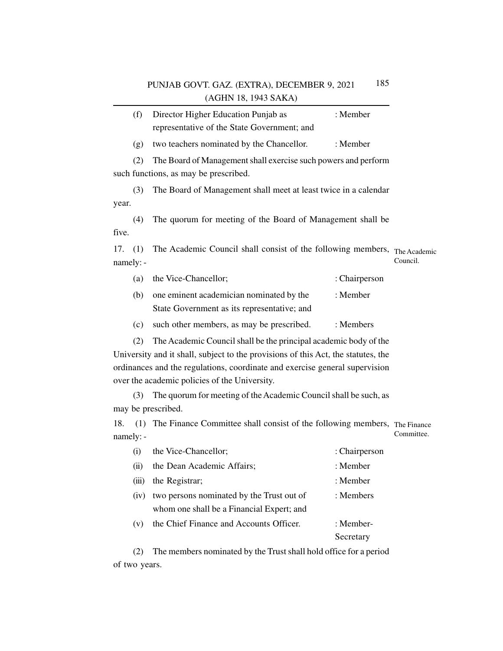|                                       | (f)                                                                                        | Director Higher Education Punjab as                                               | : Member      |            |  |  |
|---------------------------------------|--------------------------------------------------------------------------------------------|-----------------------------------------------------------------------------------|---------------|------------|--|--|
|                                       |                                                                                            | representative of the State Government; and                                       |               |            |  |  |
|                                       | (g)                                                                                        | two teachers nominated by the Chancellor.                                         | : Member      |            |  |  |
|                                       | (2)                                                                                        | The Board of Management shall exercise such powers and perform                    |               |            |  |  |
| such functions, as may be prescribed. |                                                                                            |                                                                                   |               |            |  |  |
|                                       | (3)                                                                                        | The Board of Management shall meet at least twice in a calendar                   |               |            |  |  |
| year.                                 |                                                                                            |                                                                                   |               |            |  |  |
|                                       | (4)                                                                                        | The quorum for meeting of the Board of Management shall be                        |               |            |  |  |
| five.                                 |                                                                                            |                                                                                   |               |            |  |  |
| 17.                                   | (1)                                                                                        | The Academic Council shall consist of the following members, The Academic         |               |            |  |  |
| namely: -                             |                                                                                            |                                                                                   |               | Council.   |  |  |
|                                       | (a)                                                                                        | the Vice-Chancellor;                                                              | : Chairperson |            |  |  |
|                                       | (b)                                                                                        | one eminent academician nominated by the                                          | : Member      |            |  |  |
|                                       |                                                                                            | State Government as its representative; and                                       |               |            |  |  |
|                                       | (c)                                                                                        | such other members, as may be prescribed.                                         | : Members     |            |  |  |
|                                       | (2)                                                                                        | The Academic Council shall be the principal academic body of the                  |               |            |  |  |
|                                       |                                                                                            | University and it shall, subject to the provisions of this Act, the statutes, the |               |            |  |  |
|                                       |                                                                                            | ordinances and the regulations, coordinate and exercise general supervision       |               |            |  |  |
|                                       |                                                                                            | over the academic policies of the University.                                     |               |            |  |  |
|                                       | (3)                                                                                        | The quorum for meeting of the Academic Council shall be such, as                  |               |            |  |  |
| may be prescribed.                    |                                                                                            |                                                                                   |               |            |  |  |
| 18.                                   | (1) The Finance Committee shall consist of the following members, The Finance<br>namely: - |                                                                                   |               | Committee. |  |  |

| (i)   | the Vice-Chancellor;                      | : Chairperson |
|-------|-------------------------------------------|---------------|
| (ii)  | the Dean Academic Affairs;                | : Member      |
| (iii) | the Registrar;                            | : Member      |
| (1V)  | two persons nominated by the Trust out of | : Members     |
|       | whom one shall be a Financial Expert; and |               |
| (v)   | the Chief Finance and Accounts Officer.   | : Member-     |
|       |                                           | Secretary     |
|       |                                           |               |

(2) The members nominated by the Trust shall hold office for a period of two years.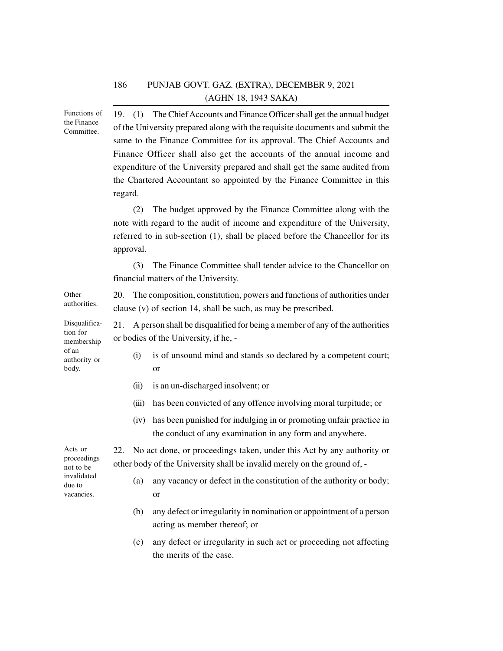19. (1) The Chief Accounts and Finance Officer shall get the annual budget of the University prepared along with the requisite documents and submit the same to the Finance Committee for its approval. The Chief Accounts and Finance Officer shall also get the accounts of the annual income and expenditure of the University prepared and shall get the same audited from the Chartered Accountant so appointed by the Finance Committee in this regard. (2) The budget approved by the Finance Committee along with the note with regard to the audit of income and expenditure of the University, referred to in sub-section (1), shall be placed before the Chancellor for its approval. (3) The Finance Committee shall tender advice to the Chancellor on financial matters of the University. 20. The composition, constitution, powers and functions of authorities under clause (v) of section 14, shall be such, as may be prescribed. 21. A person shall be disqualified for being a member of any of the authorities or bodies of the University, if he, - (i) is of unsound mind and stands so declared by a competent court; or (ii) is an un-discharged insolvent; or (iii) has been convicted of any offence involving moral turpitude; or (iv) has been punished for indulging in or promoting unfair practice in the conduct of any examination in any form and anywhere. 22. No act done, or proceedings taken, under this Act by any authority or other body of the University shall be invalid merely on the ground of, - (a) any vacancy or defect in the constitution of the authority or body; or (b) any defect or irregularity in nomination or appointment of a person acting as member thereof; or (c) any defect or irregularity in such act or proceeding not affecting Functions of the Finance Committee. Other authorities. Disqualification for membership of an authority or body. Acts or proceedings not to be invalidated due to vacancies.

the merits of the case.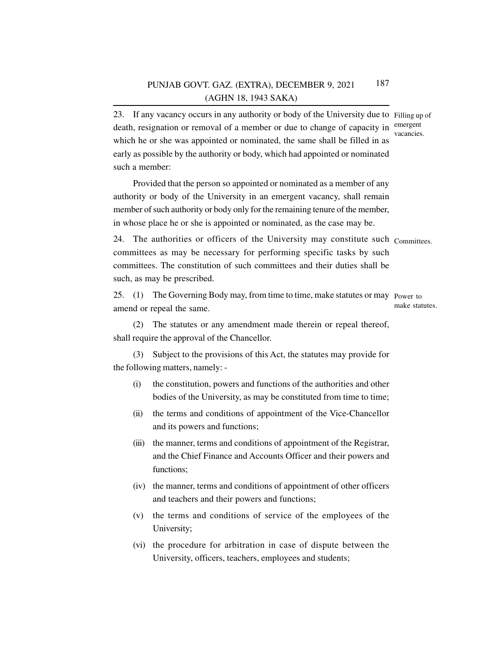23. If any vacancy occurs in any authority or body of the University due to Filling up of death, resignation or removal of a member or due to change of capacity in emergent which he or she was appointed or nominated, the same shall be filled in as early as possible by the authority or body, which had appointed or nominated such a member:

Provided that the person so appointed or nominated as a member of any authority or body of the University in an emergent vacancy, shall remain member of such authority or body only for the remaining tenure of the member, in whose place he or she is appointed or nominated, as the case may be.

24. The authorities or officers of the University may constitute such Committees.committees as may be necessary for performing specific tasks by such committees. The constitution of such committees and their duties shall be such, as may be prescribed.

25. (1) The Governing Body may, from time to time, make statutes or may Power to amend or repeal the same. make statutes.

(2) The statutes or any amendment made therein or repeal thereof, shall require the approval of the Chancellor.

(3) Subject to the provisions of this Act, the statutes may provide for the following matters, namely: -

- (i) the constitution, powers and functions of the authorities and other bodies of the University, as may be constituted from time to time;
- (ii) the terms and conditions of appointment of the Vice-Chancellor and its powers and functions;
- (iii) the manner, terms and conditions of appointment of the Registrar, and the Chief Finance and Accounts Officer and their powers and functions;
- (iv) the manner, terms and conditions of appointment of other officers and teachers and their powers and functions;
- (v) the terms and conditions of service of the employees of the University;
- (vi) the procedure for arbitration in case of dispute between the University, officers, teachers, employees and students;

vacancies.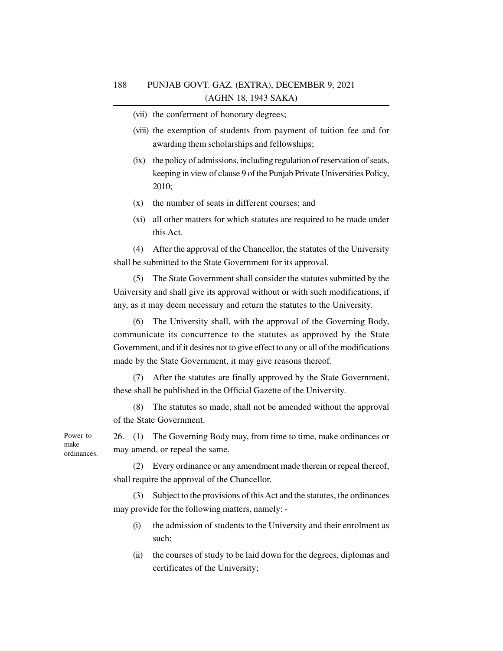(vii) the conferment of honorary degrees;

- (viii) the exemption of students from payment of tuition fee and for awarding them scholarships and fellowships;
- (ix) the policy of admissions, including regulation of reservation of seats, keeping in view of clause 9 of the Punjab Private Universities Policy, 2010;
- (x) the number of seats in different courses; and
- (xi) all other matters for which statutes are required to be made under this Act.

(4) After the approval of the Chancellor, the statutes of the University shall be submitted to the State Government for its approval.

(5) The State Government shall consider the statutes submitted by the University and shall give its approval without or with such modifications, if any, as it may deem necessary and return the statutes to the University.

(6) The University shall, with the approval of the Governing Body, communicate its concurrence to the statutes as approved by the State Government, and if it desires not to give effect to any or all of the modifications made by the State Government, it may give reasons thereof.

(7) After the statutes are finally approved by the State Government, these shall be published in the Official Gazette of the University.

(8) The statutes so made, shall not be amended without the approval of the State Government.

26. (1) The Governing Body may, from time to time, make ordinances or may amend, or repeal the same.

(2) Every ordinance or any amendment made therein or repeal thereof, shall require the approval of the Chancellor.

(3) Subject to the provisions of this Act and the statutes, the ordinances may provide for the following matters, namely: -

- (i) the admission of students to the University and their enrolment as such;
- (ii) the courses of study to be laid down for the degrees, diplomas and certificates of the University;

Power to make ordinances.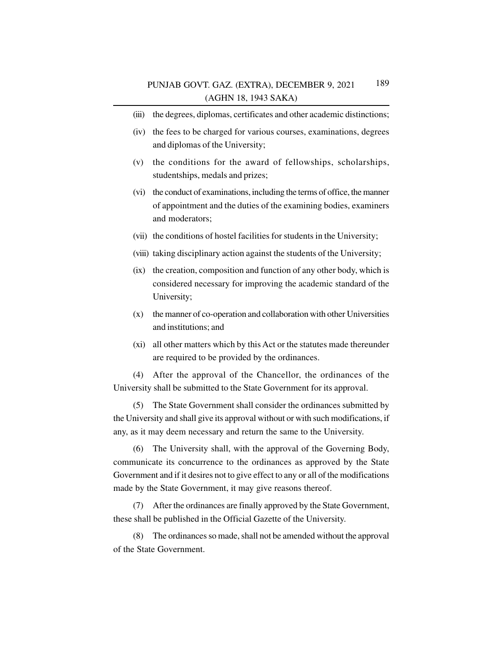- (iii) the degrees, diplomas, certificates and other academic distinctions;
- (iv) the fees to be charged for various courses, examinations, degrees and diplomas of the University;
- (v) the conditions for the award of fellowships, scholarships, studentships, medals and prizes;
- (vi) the conduct of examinations, including the terms of office, the manner of appointment and the duties of the examining bodies, examiners and moderators;
- (vii) the conditions of hostel facilities for students in the University;
- (viii) taking disciplinary action against the students of the University;
- (ix) the creation, composition and function of any other body, which is considered necessary for improving the academic standard of the University;
- (x) the manner of co-operation and collaboration with other Universities and institutions; and
- (xi) all other matters which by this Act or the statutes made thereunder are required to be provided by the ordinances.

(4) After the approval of the Chancellor, the ordinances of the University shall be submitted to the State Government for its approval.

(5) The State Government shall consider the ordinances submitted by the University and shall give its approval without or with such modifications, if any, as it may deem necessary and return the same to the University.

(6) The University shall, with the approval of the Governing Body, communicate its concurrence to the ordinances as approved by the State Government and if it desires not to give effect to any or all of the modifications made by the State Government, it may give reasons thereof.

(7) After the ordinances are finally approved by the State Government, these shall be published in the Official Gazette of the University.

(8) The ordinances so made, shall not be amended without the approval of the State Government.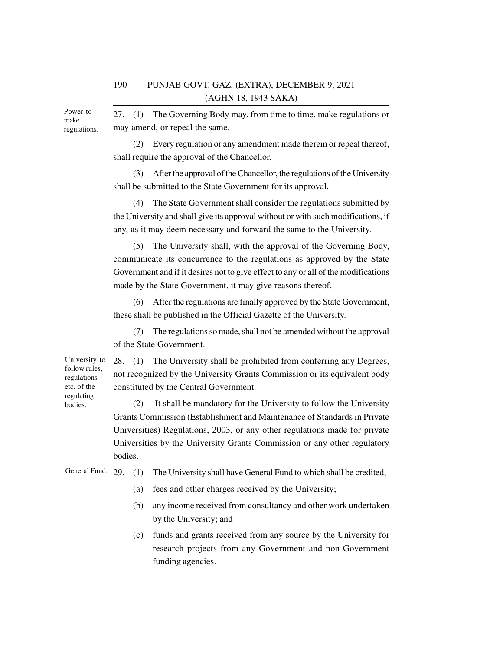Power to make regulations.

27. (1) The Governing Body may, from time to time, make regulations or may amend, or repeal the same.

(2) Every regulation or any amendment made therein or repeal thereof, shall require the approval of the Chancellor.

(3) After the approval of the Chancellor, the regulations of the University shall be submitted to the State Government for its approval.

(4) The State Government shall consider the regulations submitted by the University and shall give its approval without or with such modifications, if any, as it may deem necessary and forward the same to the University.

(5) The University shall, with the approval of the Governing Body, communicate its concurrence to the regulations as approved by the State Government and if it desires not to give effect to any or all of the modifications made by the State Government, it may give reasons thereof.

(6) After the regulations are finally approved by the State Government, these shall be published in the Official Gazette of the University.

(7) The regulations so made, shall not be amended without the approval of the State Government.

28. (1) The University shall be prohibited from conferring any Degrees, not recognized by the University Grants Commission or its equivalent body constituted by the Central Government.

(2) It shall be mandatory for the University to follow the University Grants Commission (Establishment and Maintenance of Standards in Private Universities) Regulations, 2003, or any other regulations made for private Universities by the University Grants Commission or any other regulatory bodies.

General Fund. 29. (1) The University shall have General Fund to which shall be credited,-

- (a) fees and other charges received by the University;
- (b) any income received from consultancy and other work undertaken by the University; and
- (c) funds and grants received from any source by the University for research projects from any Government and non-Government funding agencies.

University to follow rules, regulations etc. of the regulating bodies.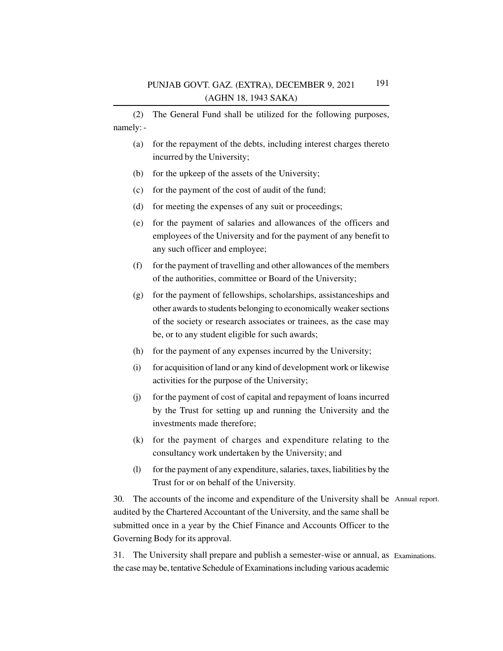(2) The General Fund shall be utilized for the following purposes, namely: -

- (a) for the repayment of the debts, including interest charges thereto incurred by the University;
- (b) for the upkeep of the assets of the University;
- (c) for the payment of the cost of audit of the fund;
- (d) for meeting the expenses of any suit or proceedings;
- (e) for the payment of salaries and allowances of the officers and employees of the University and for the payment of any benefit to any such officer and employee;
- (f) for the payment of travelling and other allowances of the members of the authorities, committee or Board of the University;
- (g) for the payment of fellowships, scholarships, assistanceships and other awards to students belonging to economically weaker sections of the society or research associates or trainees, as the case may be, or to any student eligible for such awards;
- (h) for the payment of any expenses incurred by the University;
- (i) for acquisition of land or any kind of development work or likewise activities for the purpose of the University;
- (j) for the payment of cost of capital and repayment of loans incurred by the Trust for setting up and running the University and the investments made therefore;
- (k) for the payment of charges and expenditure relating to the consultancy work undertaken by the University; and
- (l) for the payment of any expenditure, salaries, taxes, liabilities by the Trust for or on behalf of the University.

30. The accounts of the income and expenditure of the University shall be Annual report. audited by the Chartered Accountant of the University, and the same shall be submitted once in a year by the Chief Finance and Accounts Officer to the Governing Body for its approval.

31. The University shall prepare and publish a semester-wise or annual, as Examinations.the case may be, tentative Schedule of Examinations including various academic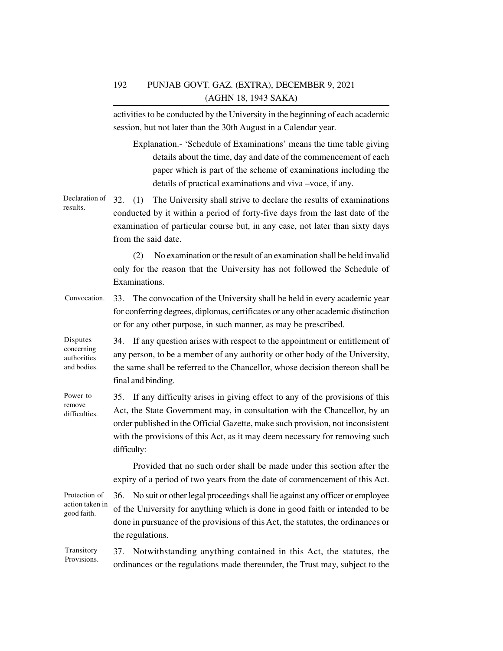activities to be conducted by the University in the beginning of each academic session, but not later than the 30th August in a Calendar year.

Explanation.- 'Schedule of Examinations' means the time table giving details about the time, day and date of the commencement of each paper which is part of the scheme of examinations including the details of practical examinations and viva –voce, if any.

32. (1) The University shall strive to declare the results of examinations conducted by it within a period of forty-five days from the last date of the examination of particular course but, in any case, not later than sixty days from the said date. Declaration of results.

> (2) No examination or the result of an examination shall be held invalid only for the reason that the University has not followed the Schedule of Examinations.

33. The convocation of the University shall be held in every academic year for conferring degrees, diplomas, certificates or any other academic distinction or for any other purpose, in such manner, as may be prescribed. Convocation.

34. If any question arises with respect to the appointment or entitlement of any person, to be a member of any authority or other body of the University, the same shall be referred to the Chancellor, whose decision thereon shall be final and binding. Disputes concerning authorities and bodies.

35. If any difficulty arises in giving effect to any of the provisions of this Act, the State Government may, in consultation with the Chancellor, by an order published in the Official Gazette, make such provision, not inconsistent with the provisions of this Act, as it may deem necessary for removing such difficulty: Power to remove difficulties.

> Provided that no such order shall be made under this section after the expiry of a period of two years from the date of commencement of this Act.

36. No suit or other legal proceedings shall lie against any officer or employee of the University for anything which is done in good faith or intended to be done in pursuance of the provisions of this Act, the statutes, the ordinances or the regulations. Protection of action taken in good faith.

37. Notwithstanding anything contained in this Act, the statutes, the ordinances or the regulations made thereunder, the Trust may, subject to the Transitory Provisions.